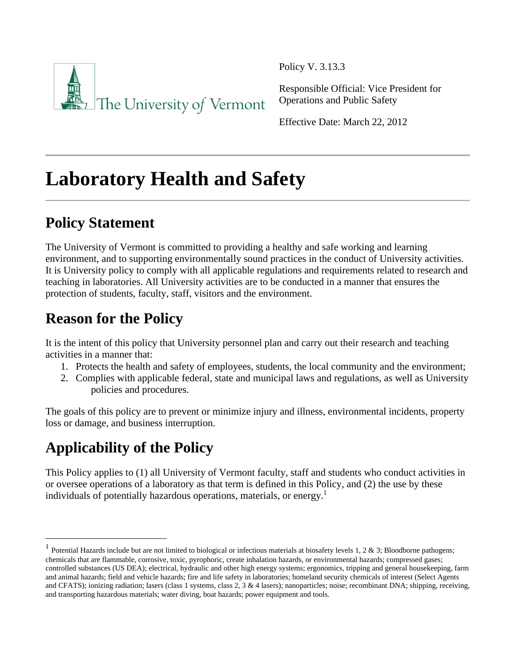

Policy V. 3.13.3

Responsible Official: Vice President for Operations and Public Safety

Effective Date: March 22, 2012

# **Laboratory Health and Safety**

# **Policy Statement**

The University of Vermont is committed to providing a healthy and safe working and learning environment, and to supporting environmentally sound practices in the conduct of University activities. It is University policy to comply with all applicable regulations and requirements related to research and teaching in laboratories. All University activities are to be conducted in a manner that ensures the protection of students, faculty, staff, visitors and the environment.

# **Reason for the Policy**

It is the intent of this policy that University personnel plan and carry out their research and teaching activities in a manner that:

- 1. Protects the health and safety of employees, students, the local community and the environment;
- 2. Complies with applicable federal, state and municipal laws and regulations, as well as University policies and procedures.

The goals of this policy are to prevent or minimize injury and illness, environmental incidents, property loss or damage, and business interruption.

# **Applicability of the Policy**

This Policy applies to (1) all University of Vermont faculty, staff and students who conduct activities in or oversee operations of a laboratory as that term is defined in this Policy, and (2) the use by these individuals of potentially hazardous operations, materials, or energy.<sup>1</sup>

<sup>&</sup>lt;sup>1</sup> Potential Hazards include but are not limited to biological or infectious materials at biosafety levels 1, 2 & 3; Bloodborne pathogens; chemicals that are flammable, corrosive, toxic, pyrophoric, create inhalation hazards, or environmental hazards; compressed gases; controlled substances (US DEA); electrical, hydraulic and other high energy systems; ergonomics, tripping and general housekeeping, farm and animal hazards; field and vehicle hazards; fire and life safety in laboratories; homeland security chemicals of interest (Select Agents and CFATS); ionizing radiation; lasers (class 1 systems, class 2, 3 & 4 lasers); nanoparticles; noise; recombinant DNA; shipping, receiving, and transporting hazardous materials; water diving, boat hazards; power equipment and tools.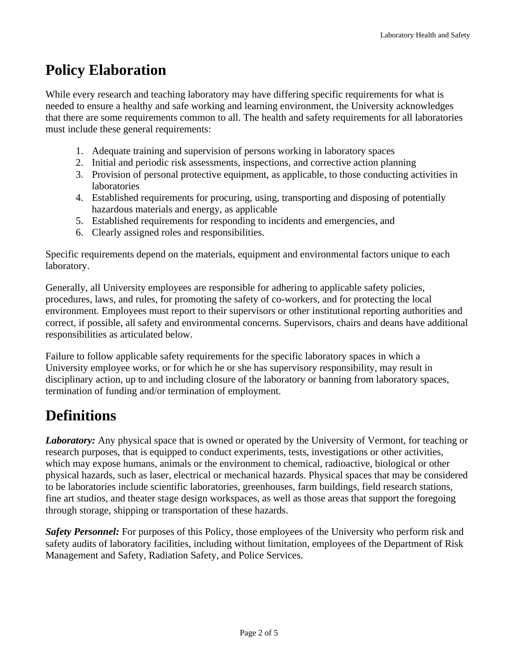### **Policy Elaboration**

While every research and teaching laboratory may have differing specific requirements for what is needed to ensure a healthy and safe working and learning environment, the University acknowledges that there are some requirements common to all. The health and safety requirements for all laboratories must include these general requirements:

- 1. Adequate training and supervision of persons working in laboratory spaces
- 2. Initial and periodic risk assessments, inspections, and corrective action planning
- 3. Provision of personal protective equipment, as applicable, to those conducting activities in laboratories
- 4. Established requirements for procuring, using, transporting and disposing of potentially hazardous materials and energy, as applicable
- 5. Established requirements for responding to incidents and emergencies, and
- 6. Clearly assigned roles and responsibilities.

Specific requirements depend on the materials, equipment and environmental factors unique to each laboratory.

Generally, all University employees are responsible for adhering to applicable safety policies, procedures, laws, and rules, for promoting the safety of co-workers, and for protecting the local environment. Employees must report to their supervisors or other institutional reporting authorities and correct, if possible, all safety and environmental concerns. Supervisors, chairs and deans have additional responsibilities as articulated below.

Failure to follow applicable safety requirements for the specific laboratory spaces in which a University employee works, or for which he or she has supervisory responsibility, may result in disciplinary action, up to and including closure of the laboratory or banning from laboratory spaces, termination of funding and/or termination of employment.

### **Definitions**

*Laboratory:* Any physical space that is owned or operated by the University of Vermont, for teaching or research purposes, that is equipped to conduct experiments, tests, investigations or other activities, which may expose humans, animals or the environment to chemical, radioactive, biological or other physical hazards, such as laser, electrical or mechanical hazards. Physical spaces that may be considered to be laboratories include scientific laboratories, greenhouses, farm buildings, field research stations, fine art studios, and theater stage design workspaces, as well as those areas that support the foregoing through storage, shipping or transportation of these hazards.

*Safety Personnel:* For purposes of this Policy, those employees of the University who perform risk and safety audits of laboratory facilities, including without limitation, employees of the Department of Risk Management and Safety, Radiation Safety, and Police Services.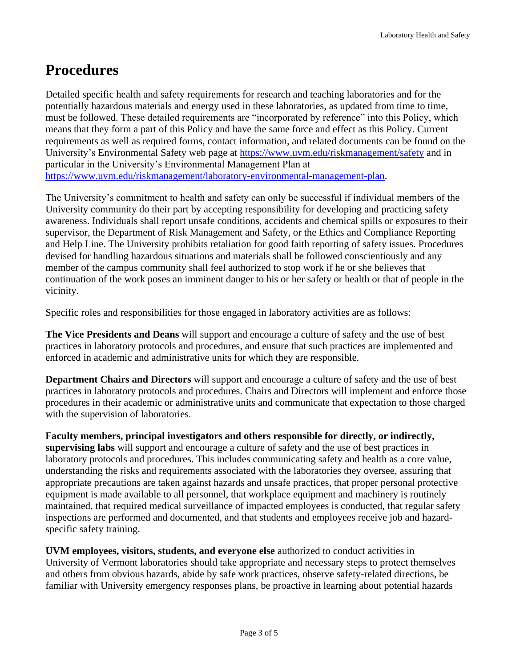### **Procedures**

Detailed specific health and safety requirements for research and teaching laboratories and for the potentially hazardous materials and energy used in these laboratories, as updated from time to time, must be followed. These detailed requirements are "incorporated by reference" into this Policy, which means that they form a part of this Policy and have the same force and effect as this Policy. Current requirements as well as required forms, contact information, and related documents can be found on the University's Environmental Safety web page at <https://www.uvm.edu/riskmanagement/safety> and in particular in the University's Environmental Management Plan at [https://www.uvm.edu/riskmanagement/laboratory-environmental-management-plan.](https://www.uvm.edu/riskmanagement/laboratory-environmental-management-plan)

The University's commitment to health and safety can only be successful if individual members of the University community do their part by accepting responsibility for developing and practicing safety awareness. Individuals shall report unsafe conditions, accidents and chemical spills or exposures to their supervisor, the Department of Risk Management and Safety, or the Ethics and Compliance Reporting and Help Line. The University prohibits retaliation for good faith reporting of safety issues. Procedures devised for handling hazardous situations and materials shall be followed conscientiously and any member of the campus community shall feel authorized to stop work if he or she believes that continuation of the work poses an imminent danger to his or her safety or health or that of people in the vicinity.

Specific roles and responsibilities for those engaged in laboratory activities are as follows:

**The Vice Presidents and Deans** will support and encourage a culture of safety and the use of best practices in laboratory protocols and procedures, and ensure that such practices are implemented and enforced in academic and administrative units for which they are responsible.

**Department Chairs and Directors** will support and encourage a culture of safety and the use of best practices in laboratory protocols and procedures. Chairs and Directors will implement and enforce those procedures in their academic or administrative units and communicate that expectation to those charged with the supervision of laboratories.

**Faculty members, principal investigators and others responsible for directly, or indirectly, supervising labs** will support and encourage a culture of safety and the use of best practices in laboratory protocols and procedures. This includes communicating safety and health as a core value, understanding the risks and requirements associated with the laboratories they oversee, assuring that appropriate precautions are taken against hazards and unsafe practices, that proper personal protective equipment is made available to all personnel, that workplace equipment and machinery is routinely maintained, that required medical surveillance of impacted employees is conducted, that regular safety inspections are performed and documented, and that students and employees receive job and hazardspecific safety training.

**UVM employees, visitors, students, and everyone else** authorized to conduct activities in University of Vermont laboratories should take appropriate and necessary steps to protect themselves and others from obvious hazards, abide by safe work practices, observe safety-related directions, be familiar with University emergency responses plans, be proactive in learning about potential hazards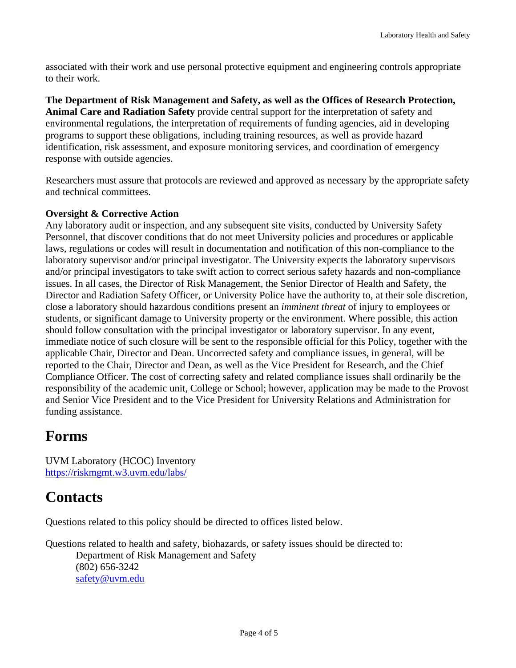associated with their work and use personal protective equipment and engineering controls appropriate to their work.

**The Department of Risk Management and Safety, as well as the Offices of Research Protection, Animal Care and Radiation Safety** provide central support for the interpretation of safety and environmental regulations, the interpretation of requirements of funding agencies, aid in developing programs to support these obligations, including training resources, as well as provide hazard identification, risk assessment, and exposure monitoring services, and coordination of emergency response with outside agencies.

Researchers must assure that protocols are reviewed and approved as necessary by the appropriate safety and technical committees.

#### **Oversight & Corrective Action**

Any laboratory audit or inspection, and any subsequent site visits, conducted by University Safety Personnel, that discover conditions that do not meet University policies and procedures or applicable laws, regulations or codes will result in documentation and notification of this non-compliance to the laboratory supervisor and/or principal investigator. The University expects the laboratory supervisors and/or principal investigators to take swift action to correct serious safety hazards and non-compliance issues. In all cases, the Director of Risk Management, the Senior Director of Health and Safety, the Director and Radiation Safety Officer, or University Police have the authority to, at their sole discretion, close a laboratory should hazardous conditions present an *imminent threat* of injury to employees or students, or significant damage to University property or the environment. Where possible, this action should follow consultation with the principal investigator or laboratory supervisor. In any event, immediate notice of such closure will be sent to the responsible official for this Policy, together with the applicable Chair, Director and Dean. Uncorrected safety and compliance issues, in general, will be reported to the Chair, Director and Dean, as well as the Vice President for Research, and the Chief Compliance Officer. The cost of correcting safety and related compliance issues shall ordinarily be the responsibility of the academic unit, College or School; however, application may be made to the Provost and Senior Vice President and to the Vice President for University Relations and Administration for funding assistance.

#### **Forms**

UVM Laboratory (HCOC) Inventory <https://riskmgmt.w3.uvm.edu/labs/>

### **Contacts**

Questions related to this policy should be directed to offices listed below.

Questions related to health and safety, biohazards, or safety issues should be directed to: Department of Risk Management and Safety (802) 656-3242 [safety@uvm.edu](mailto:safety@uvm.edu)